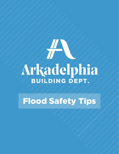# Arkadelphia

Flood Safety Tips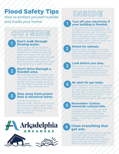# Flood Safety Tips

How to protect yourself outside and inside your home.

# **DUTSIDE**

#### Don't walk through flowing water.

Drowning is the #1 cause of flood deaths. Currents can be deceptive; 6 inches of moving water can knock you off your feet! If you have to walk through flooded waters, use a pole or stick to ensure the ground is still there before you walk through.

#### Don't drive through a flooded area.

More people drown in their cars than anywhere else. Don't drive around road barriers; the road or bridge may be washed away. A car can float in as little as 2 feet of water. Turn around, don't drown!

#### Stay away from power lines & electrical wires.

The #2 flood killer is electrocution. Electrical currents can travel through water. Help save lives by reporting downed power lines to Entergy at 800.968.8243.







# INSIDE

#### Turn off your electricity if  $\mathbf 1$ your building is flooded.

If you don't feel safe doing this, call an electrician. Some appliances, such as television sets, can shock you even after they have been unplugged. Don't use appliances or motors that have gotten wet unless they have been taken apart, cleaned, dried and inspected by a professional.

#### Watch for animals.

Small animals, like rats and snakes, that have been flooded out of their homes may seek shelter in yours. Use a pole or stick to poke and turn items over and scare small animals away.

#### Look before you step.

After a flood, the ground and floors are often covered with debris including broken bottles and nails. Floors and stairs that have been covered with mud can also be very slippery.

# $\blacktriangle$

5

 $\bf{2}$ 

3

#### Be alert for gas leaks.

Use a flashlight to inspect for damage. Don't smoke or use candles, lanterns or open flames unless you know the gas has been turned off and the area has been thoroughly aired out. If you have questions on gas, call CenterPoint Entergy at 800.992.7552.

#### Remember: Carbon monoxide exhaust kills.

Use a generator or other gasolinepowered machine outdoors. The same goes for camping stoves. Fumes from charcoal are especially deadly - Cook with charcoal outdoors.

Clean everything that  $6<sup>1</sup>$ got wet.

Flood waters have picked up sewage and chemicals from roads, farms, factories and storage buildings. Spoiled food and flooded cosmetics and medicines are health hazards. When in doubt, throw them out!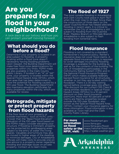# Are you prepared for a flood in your neighborhood?

A look back at our history and how you can protect yourself moving forward.

### What should you do before a flood?

Determine if your property is located in an area subject to flooding. A property locating within a flood zone doesn't necessarily having flooding problems. Upon request, the Building Department will make free flood zone determinations for properties within city limits. FEMA maps are also available in the Clark County Public Library. If located in an "A" or "AE" zone, your property is located within the Special Flood Hazard Area (SFHA), which is an area that has been determined to have the potential for flooding caused by a 100-year flood. The Building Department also maintains elevation certificates for many properties within the city, which are available for review.

#### Retrograde, mitigate or protect property from flood hazards

If the floor level of your property or outside machinery - such as HVAC units is lower than the "Base Flood Elevation" (elevation of the 100-year flood based on the FEMA maps) consider elevating your structure. If flooding is imminent, property can be protected by sandbagging areas subject to the entry of water into living spaces. Valuables and furniture may also be moved to higher areas of the dwelling to minimize damages. City of Arkadelphia officials will make visits to provide one-on one advice to a property owner regarding flooding and drainage issues on private property. Contact us to learn more.

## The flood of 1927

The most notable flooding in Arkadelphia and Clark County took place in April 1927 when the river rose to 23-feet. Since then, the construction of three dams on the upper Ouachita River has helped alleviate flooding in recent years. It is critical to remember the City of Arkadelphia is still subject to flooding from the Ouachita River, Maddox Branch or Millcreek Branch. Arkadelphia is also subject to flash flooding from torrential rains.

## Flood Insurance

Flooding is not covered by a standard homeowner's insurance policy. Renter's insurance does not cover flood claims. A separate flood insurance policy is required to cover damages incurred by flooding. Coverage is available for the building as well as for the contents of the building.The City of Arkadelphia participates in the Community Rating System (CRS) and in the National Flood Insurance Program (NFIP) which makes available federally backed flood insurance for all structures, whether or not they are located within the floodplain. There is a 30-day waiting period before coverage goes into effect. The discount for our current CRS Class 8 rating entitles residents in Special Flood Hazard Areas (SFHAs) to a 10 percent discount on their flood insurance premiums. More than 40 percent of NFIP claims are filed by properties located outside the 100-year floodplain, also known as the Special Flood Hazard Area (SFHA). Contact your insurance agency for more information. Flood information is also available at Town Hall and the Clark County Public Library.

For more information on flood safety or the NFIP, visit:

www.floodsmart.gov www.fema.gov www.fema.gov/floodmaps/national-flood-layer http://water.weather.gov

Arkadelphia ARKANSAS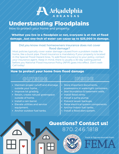

# Understanding Floodplains

How to protect your home and property.

#### Whether you live in a floodplain or not, everyone is at risk of flood damage. Just one-inch of water can cause up to \$25,000 in damage.

#### Did you know most homeowners insurance does not cover flood damage?

Most policies typically cover water damage caused from a problem inside the home, like a burst pipe. Flood insurance is mandatory if your property is located in the Special Flood Hazard Area. To add flood insurance to your policy, contact your insurance agent. Keep in mind, there is usually a 30-day waiting period before you National Flood Insurance Policy (NFIP) goes into effect. Don't wait-Call today!

#### How to protect your home from flood damage

## OUTSIDE / / / / INSIDE

- Maintain proper runoff and drainage outside your home.
- Improve lot grading.
- Retain, create natural greenspace outside of home.
- Install a rain barrel.
- Elevate utilities and service equipment.
- Anchor outdoor fuel tanks.

- Store important documents, possessions in watertight containers.
- Seal foundation & basement walls.
- Install flood vents.
- Install a sump pump.
- Prevent sewer backups.
- Raise electrical system components.
- Anchor indoor fuel tanks.
- · Install a flood alert system.

# 870.246.1818 Questions? Contact us!



Facts & Figures sourced from: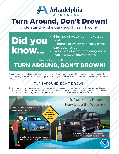

# Turn Around, Don't Drown!

Understanding the dangers of flash flooding.

#### Did you know... 6 inches of water can make a car float. 12 inches of water can carry most cars downstream. 24 inches of water can carry most trucks & SUVs downstream.

Protect yourself and others.

# TURN AROUND, DON'T DROWN!

Most people underestimate the power of moving water. This leads to hundreds of accidents, injuries and deaths per year. If you see moving water on the road in front of you...

#### TURN AROUND, DON'T DROWN!

Road beds may be washed out under flood waters, tree limbs, debris or other large objects could be just under the surface. Whenever you see standing water in the road, turn around and rely on an alternate route to get you to your destination.